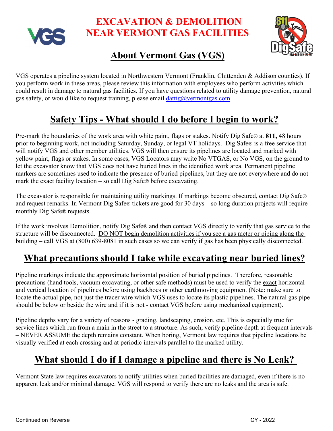

 **EXCAVATION & DEMOLITION NEAR VERMONT GAS FACILITIES**



# **About Vermont Gas (VGS)**

VGS operates a pipeline system located in Northwestern Vermont (Franklin, Chittenden & Addison counties). If you perform work in these areas, please review this information with employees who perform activities which could result in damage to natural gas facilities. If you have questions related to utility damage prevention, natural gas safety, or would like to request training, please email  $dataig@vermontgas.com$ 

### **Safety Tips - What should I do before I begin to work?**

Pre-mark the boundaries of the work area with white paint, flags or stakes. Notify Dig Safe® at **811,** 48 hours prior to beginning work, not including Saturday, Sunday, or legal VT holidays. Dig Safe® is a free service that will notify VGS and other member utilities. VGS will then ensure its pipelines are located and marked with yellow paint, flags or stakes. In some cases, VGS Locators may write No VTGAS, or No VGS, on the ground to let the excavator know that VGS does not have buried lines in the identified work area. Permanent pipeline markers are sometimes used to indicate the presence of buried pipelines, but they are not everywhere and do not mark the exact facility location – so call Dig Safe® before excavating.

The excavator is responsible for maintaining utility markings. If markings become obscured, contact Dig Safe® and request remarks. In Vermont Dig Safe® tickets are good for 30 days – so long duration projects will require monthly Dig Safe® requests.

If the work involves Demolition, notify Dig Safe® and then contact VGS directly to verify that gas service to the structure will be disconnected. DO NOT begin demolition activities if you see a gas meter or piping along the building – call VGS at (800) 639-8081 in such cases so we can verify if gas has been physically disconnected.

#### **What precautions should I take while excavating near buried lines?**

Pipeline markings indicate the approximate horizontal position of buried pipelines. Therefore, reasonable precautions (hand tools, vacuum excavating, or other safe methods) must be used to verify the exact horizontal and vertical location of pipelines before using backhoes or other earthmoving equipment (Note: make sure to locate the actual pipe, not just the tracer wire which VGS uses to locate its plastic pipelines. The natural gas pipe should be below or beside the wire and if it is not - contact VGS before using mechanized equipment).

Pipeline depths vary for a variety of reasons - grading, landscaping, erosion, etc. This is especially true for service lines which run from a main in the street to a structure. As such, verify pipeline depth at frequent intervals – NEVER ASSUME the depth remains constant. When boring, Vermont law requires that pipeline locations be visually verified at each crossing and at periodic intervals parallel to the marked utility.

# **What should I do if I damage a pipeline and there is No Leak?**

Vermont State law requires excavators to notify utilities when buried facilities are damaged, even if there is no apparent leak and/or minimal damage. VGS will respond to verify there are no leaks and the area is safe.